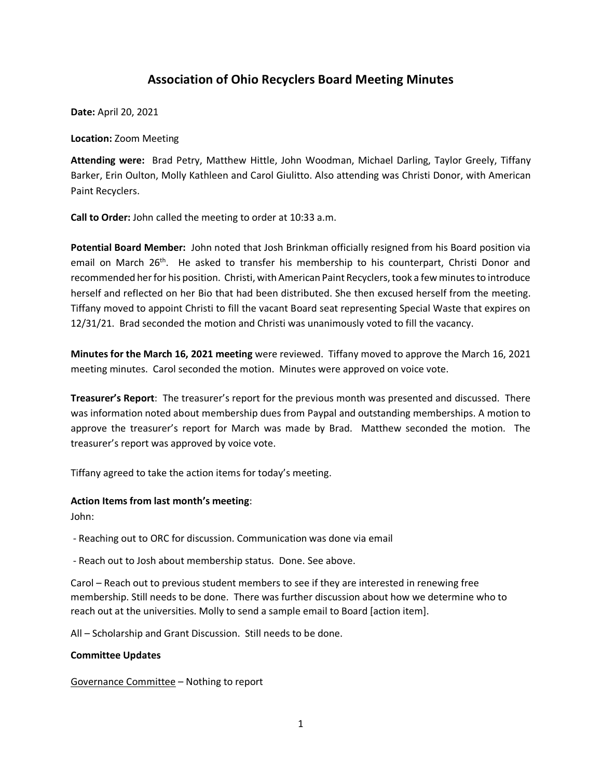# **Association of Ohio Recyclers Board Meeting Minutes**

**Date:** April 20, 2021

**Location:** Zoom Meeting

**Attending were:** Brad Petry, Matthew Hittle, John Woodman, Michael Darling, Taylor Greely, Tiffany Barker, Erin Oulton, Molly Kathleen and Carol Giulitto. Also attending was Christi Donor, with American Paint Recyclers.

**Call to Order:** John called the meeting to order at 10:33 a.m.

**Potential Board Member:** John noted that Josh Brinkman officially resigned from his Board position via email on March 26<sup>th</sup>. He asked to transfer his membership to his counterpart, Christi Donor and recommended her for his position. Christi, with American Paint Recyclers,took a few minutes to introduce herself and reflected on her Bio that had been distributed. She then excused herself from the meeting. Tiffany moved to appoint Christi to fill the vacant Board seat representing Special Waste that expires on 12/31/21. Brad seconded the motion and Christi was unanimously voted to fill the vacancy.

**Minutes for the March 16, 2021 meeting** were reviewed. Tiffany moved to approve the March 16, 2021 meeting minutes. Carol seconded the motion. Minutes were approved on voice vote.

**Treasurer's Report**: The treasurer's report for the previous month was presented and discussed. There was information noted about membership dues from Paypal and outstanding memberships. A motion to approve the treasurer's report for March was made by Brad. Matthew seconded the motion. The treasurer's report was approved by voice vote.

Tiffany agreed to take the action items for today's meeting.

#### **Action Items from last month's meeting**:

John:

- Reaching out to ORC for discussion. Communication was done via email

- Reach out to Josh about membership status. Done. See above.

Carol – Reach out to previous student members to see if they are interested in renewing free membership. Still needs to be done. There was further discussion about how we determine who to reach out at the universities. Molly to send a sample email to Board [action item].

All – Scholarship and Grant Discussion. Still needs to be done.

#### **Committee Updates**

Governance Committee – Nothing to report